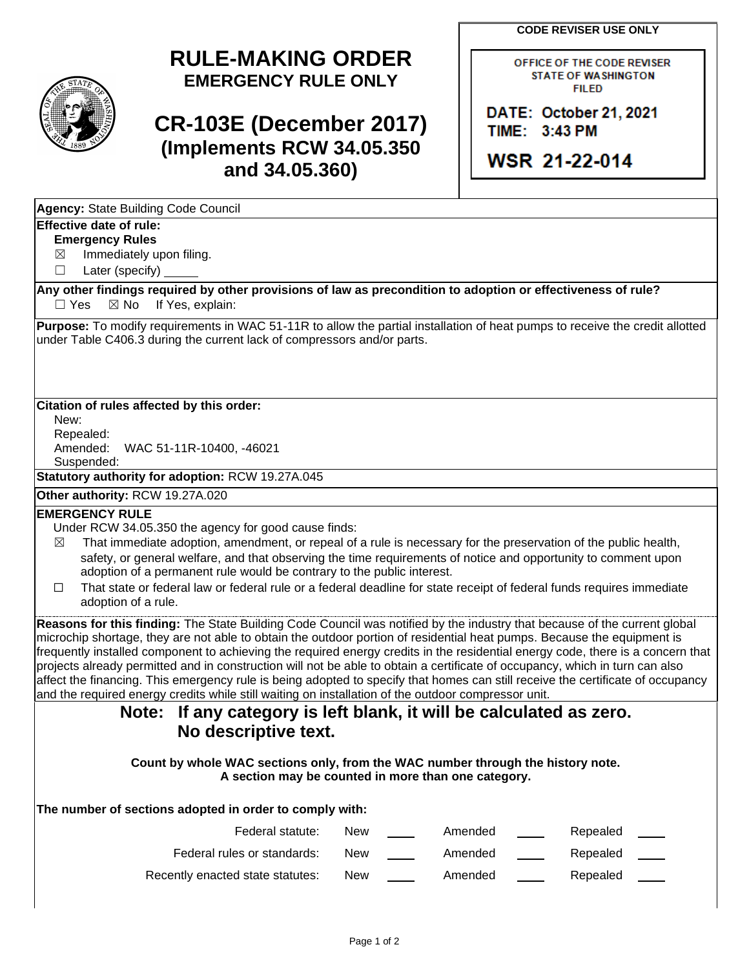**CODE REVISER USE ONLY**

OFFICE OF THE CODE REVISER **STATE OF WASHINGTON FILED** 

DATE: October 21, 2021

WSR 21-22-014

TIME: 3:43 PM

## **RULE-MAKING ORDER EMERGENCY RULE ONLY**

# **CR-103E (December 2017) (Implements RCW 34.05.350 and 34.05.360)**

**Agency:** State Building Code Council

### **Effective date of rule:**

#### **Emergency Rules**

 $\boxtimes$  Immediately upon filing.

☐ Later (specify)

**Any other findings required by other provisions of law as precondition to adoption or effectiveness of rule?**  $\Box$  Yes  $\boxtimes$  No If Yes, explain:

**Purpose:** To modify requirements in WAC 51-11R to allow the partial installation of heat pumps to receive the credit allotted under Table C406.3 during the current lack of compressors and/or parts.

#### **Citation of rules affected by this order:**

New: Repealed:

Amended: WAC 51-11R-10400, -46021

Suspended:

**Statutory authority for adoption:** RCW 19.27A.045

**Other authority:** RCW 19.27A.020

#### **EMERGENCY RULE**

Under RCW 34.05.350 the agency for good cause finds:

- $\boxtimes$  That immediate adoption, amendment, or repeal of a rule is necessary for the preservation of the public health, safety, or general welfare, and that observing the time requirements of notice and opportunity to comment upon adoption of a permanent rule would be contrary to the public interest.
- ☐ That state or federal law or federal rule or a federal deadline for state receipt of federal funds requires immediate adoption of a rule.

**Reasons for this finding:** The State Building Code Council was notified by the industry that because of the current global microchip shortage, they are not able to obtain the outdoor portion of residential heat pumps. Because the equipment is frequently installed component to achieving the required energy credits in the residential energy code, there is a concern that projects already permitted and in construction will not be able to obtain a certificate of occupancy, which in turn can also affect the financing. This emergency rule is being adopted to specify that homes can still receive the certificate of occupancy and the required energy credits while still waiting on installation of the outdoor compressor unit.

### **Note: If any category is left blank, it will be calculated as zero. No descriptive text.**

**Count by whole WAC sections only, from the WAC number through the history note. A section may be counted in more than one category.**

**The number of sections adopted in order to comply with:**

| Federal statute:                 | <b>New</b> | Amended | Repealed |
|----------------------------------|------------|---------|----------|
| Federal rules or standards:      | <b>New</b> | Amended | Repealed |
| Recently enacted state statutes: | <b>New</b> | Amended | Repealed |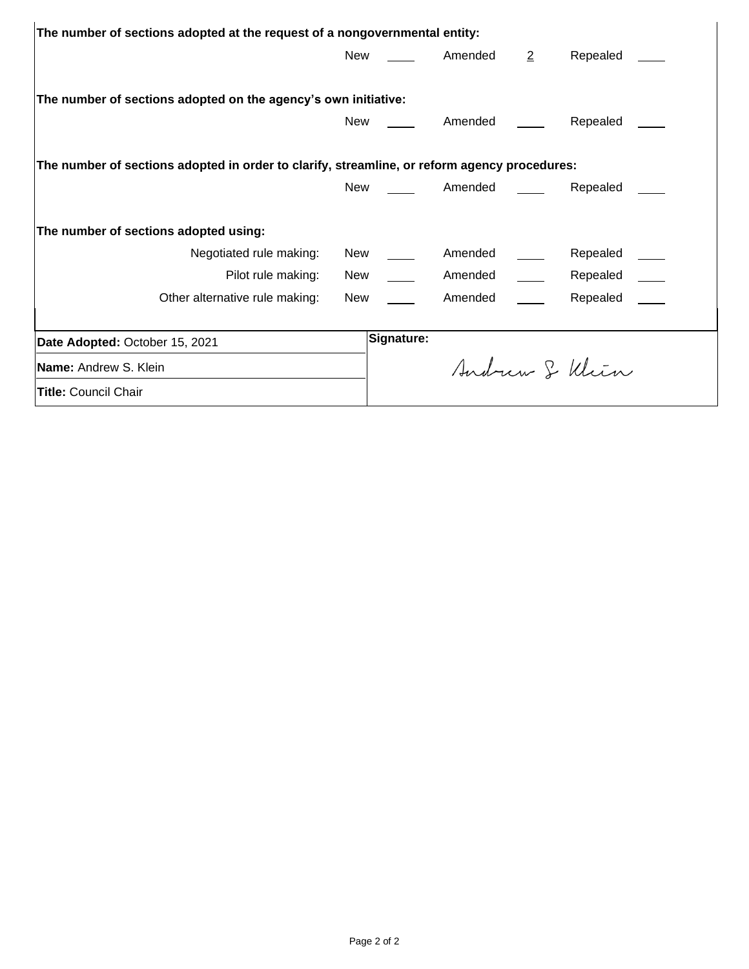| The number of sections adopted at the request of a nongovernmental entity:                   |            |                              |                                     |                |  |
|----------------------------------------------------------------------------------------------|------------|------------------------------|-------------------------------------|----------------|--|
| New                                                                                          |            | Amended                      | $\overline{2}$                      | Repealed       |  |
|                                                                                              |            |                              |                                     |                |  |
| The number of sections adopted on the agency's own initiative:                               |            |                              |                                     |                |  |
| New                                                                                          |            | Amended                      |                                     | Repealed       |  |
|                                                                                              |            |                              |                                     |                |  |
| The number of sections adopted in order to clarify, streamline, or reform agency procedures: |            |                              |                                     |                |  |
| New                                                                                          |            | <u>_______</u> Amended _____ |                                     | Repealed       |  |
| The number of sections adopted using:                                                        |            |                              |                                     |                |  |
| Negotiated rule making:<br>New                                                               |            | Amended                      |                                     | Repealed       |  |
| Pilot rule making:<br>New                                                                    |            | Amended                      | <u>and the company of the state</u> | Repealed       |  |
| Other alternative rule making:<br>New                                                        |            | Amended                      |                                     | Repealed       |  |
|                                                                                              |            |                              |                                     |                |  |
| Date Adopted: October 15, 2021                                                               | Signature: |                              |                                     |                |  |
| Name: Andrew S. Klein                                                                        |            |                              |                                     | Andrew & Klien |  |
| <b>Title: Council Chair</b>                                                                  |            |                              |                                     |                |  |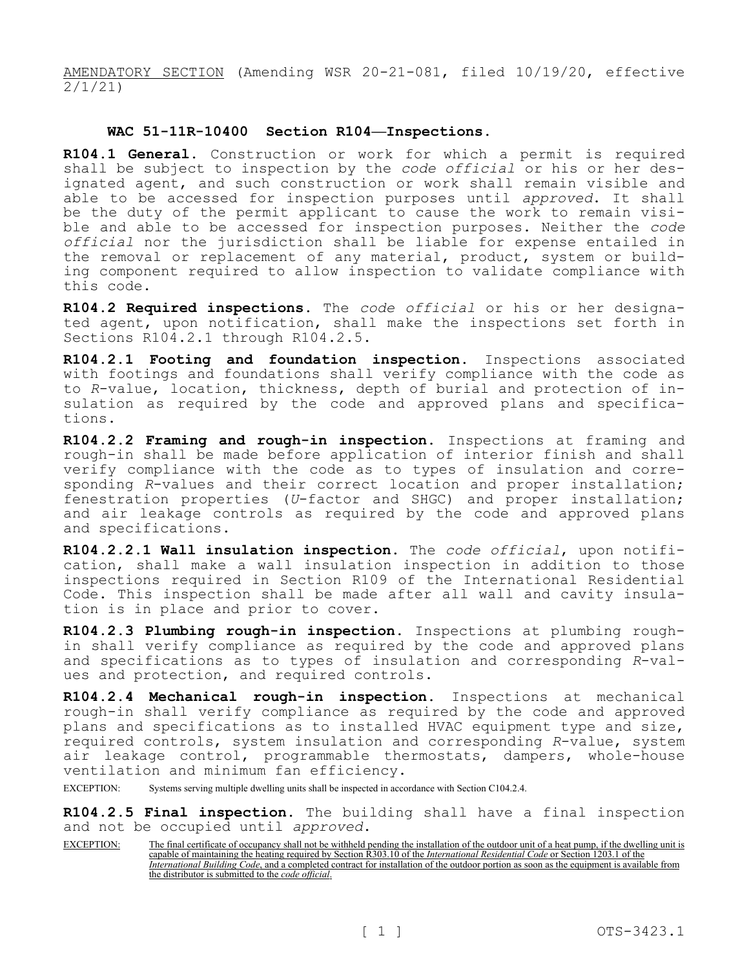AMENDATORY SECTION (Amending WSR 20-21-081, filed 10/19/20, effective 2/1/21)

#### **WAC 51-11R-10400 Section R104—Inspections.**

**R104.1 General.** Construction or work for which a permit is required shall be subject to inspection by the *code official* or his or her designated agent, and such construction or work shall remain visible and able to be accessed for inspection purposes until *approved*. It shall be the duty of the permit applicant to cause the work to remain visible and able to be accessed for inspection purposes. Neither the *code official* nor the jurisdiction shall be liable for expense entailed in the removal or replacement of any material, product, system or building component required to allow inspection to validate compliance with this code.

**R104.2 Required inspections.** The *code official* or his or her designated agent, upon notification, shall make the inspections set forth in Sections R104.2.1 through R104.2.5.

**R104.2.1 Footing and foundation inspection.** Inspections associated with footings and foundations shall verify compliance with the code as to *R*-value, location, thickness, depth of burial and protection of insulation as required by the code and approved plans and specifications.

**R104.2.2 Framing and rough-in inspection.** Inspections at framing and rough-in shall be made before application of interior finish and shall verify compliance with the code as to types of insulation and corresponding *R*-values and their correct location and proper installation; fenestration properties (*U*-factor and SHGC) and proper installation; and air leakage controls as required by the code and approved plans and specifications.

**R104.2.2.1 Wall insulation inspection.** The *code official*, upon notification, shall make a wall insulation inspection in addition to those inspections required in Section R109 of the International Residential Code. This inspection shall be made after all wall and cavity insulation is in place and prior to cover.

**R104.2.3 Plumbing rough-in inspection.** Inspections at plumbing roughin shall verify compliance as required by the code and approved plans and specifications as to types of insulation and corresponding *R*-values and protection, and required controls.

**R104.2.4 Mechanical rough-in inspection.** Inspections at mechanical rough-in shall verify compliance as required by the code and approved plans and specifications as to installed HVAC equipment type and size, required controls, system insulation and corresponding *R*-value, system air leakage control, programmable thermostats, dampers, whole-house ventilation and minimum fan efficiency.

EXCEPTION: Systems serving multiple dwelling units shall be inspected in accordance with Section C104.2.4.

**R104.2.5 Final inspection.** The building shall have a final inspection and not be occupied until *approved*.

EXCEPTION: The final certificate of occupancy shall not be withheld pending the installation of the outdoor unit of a heat pump, if the dwelling unit is capable of maintaining the heating required by Section R303.10 of the *International Residential Code* or Section 1203.1 of the *International Building Code*, and a completed contract for installation of the outdoor portion as soon as the equipment is available from the distributor is submitted to the *code official*.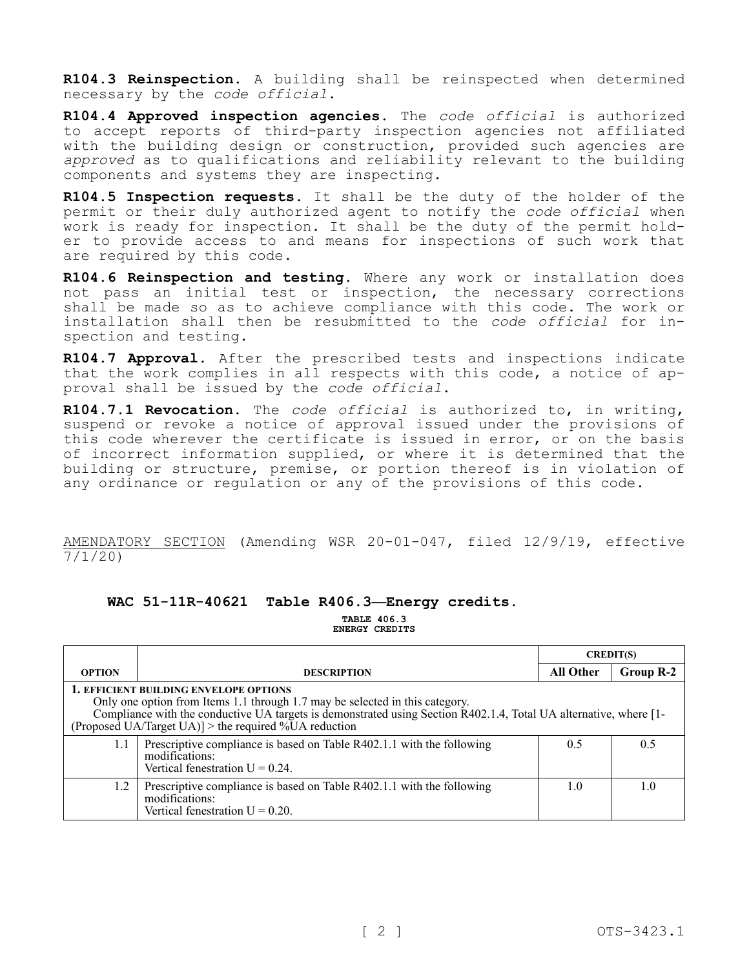**R104.3 Reinspection.** A building shall be reinspected when determined necessary by the *code official*.

**R104.4 Approved inspection agencies.** The *code official* is authorized to accept reports of third-party inspection agencies not affiliated with the building design or construction, provided such agencies are *approved* as to qualifications and reliability relevant to the building components and systems they are inspecting.

**R104.5 Inspection requests.** It shall be the duty of the holder of the permit or their duly authorized agent to notify the *code official* when work is ready for inspection. It shall be the duty of the permit holder to provide access to and means for inspections of such work that are required by this code.

**R104.6 Reinspection and testing.** Where any work or installation does not pass an initial test or inspection, the necessary corrections shall be made so as to achieve compliance with this code. The work or installation shall then be resubmitted to the *code official* for inspection and testing.

**R104.7 Approval.** After the prescribed tests and inspections indicate that the work complies in all respects with this code, a notice of approval shall be issued by the *code official*.

**R104.7.1 Revocation.** The *code official* is authorized to, in writing, suspend or revoke a notice of approval issued under the provisions of this code wherever the certificate is issued in error, or on the basis of incorrect information supplied, or where it is determined that the building or structure, premise, or portion thereof is in violation of any ordinance or regulation or any of the provisions of this code.

AMENDATORY SECTION (Amending WSR 20-01-047, filed 12/9/19, effective 7/1/20)

#### **WAC 51-11R-40621 Table R406.3—Energy credits.**

**TABLE 406.3 ENERGY CREDITS**

|                                                                                                                                                                                                                                                                                                             |                                                                                                                               | <b>CREDIT(S)</b> |           |
|-------------------------------------------------------------------------------------------------------------------------------------------------------------------------------------------------------------------------------------------------------------------------------------------------------------|-------------------------------------------------------------------------------------------------------------------------------|------------------|-----------|
| <b>OPTION</b>                                                                                                                                                                                                                                                                                               | <b>DESCRIPTION</b>                                                                                                            | All Other        | Group R-2 |
| <b>1. EFFICIENT BUILDING ENVELOPE OPTIONS</b><br>Only one option from Items 1.1 through 1.7 may be selected in this category.<br>Compliance with the conductive UA targets is demonstrated using Section R402.1.4, Total UA alternative, where [1-<br>(Proposed UA/Target UA)] > the required %UA reduction |                                                                                                                               |                  |           |
| 1.1                                                                                                                                                                                                                                                                                                         | Prescriptive compliance is based on Table R402.1.1 with the following<br>modifications:<br>Vertical fenestration $U = 0.24$ . | 0.5              | 0.5       |
| 1.2                                                                                                                                                                                                                                                                                                         | Prescriptive compliance is based on Table R402.1.1 with the following<br>modifications:<br>Vertical fenestration $U = 0.20$ . | 1.0              | 1.0       |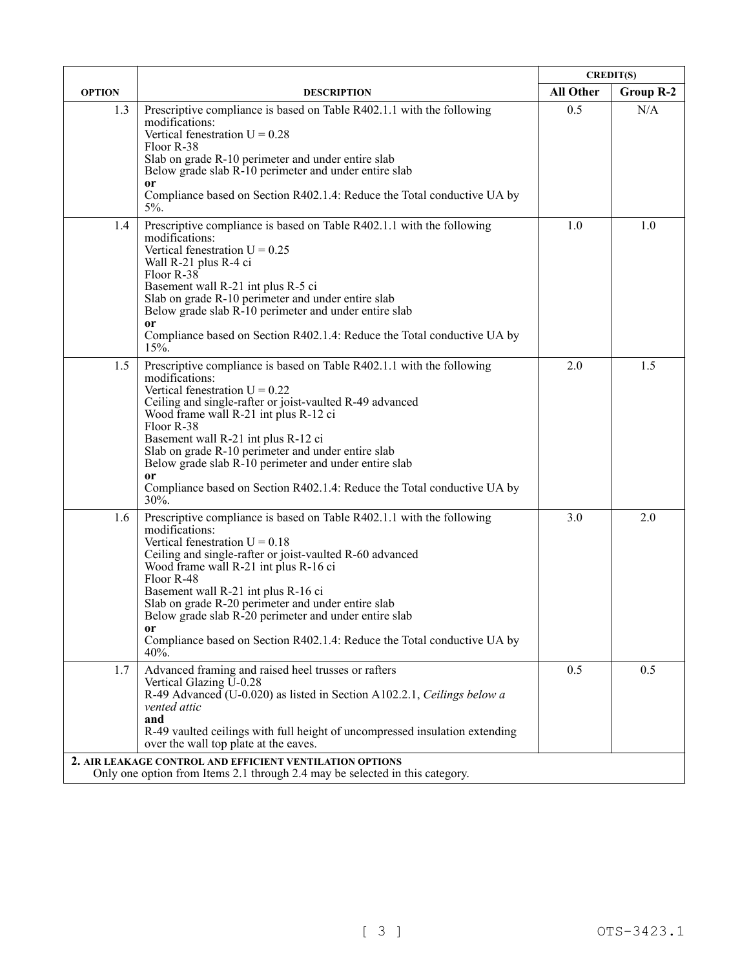|               |                                                                                                                                                                                                                                                                                                                                                                                                                                                                                                          | <b>CREDIT(S)</b> |                  |
|---------------|----------------------------------------------------------------------------------------------------------------------------------------------------------------------------------------------------------------------------------------------------------------------------------------------------------------------------------------------------------------------------------------------------------------------------------------------------------------------------------------------------------|------------------|------------------|
| <b>OPTION</b> | <b>DESCRIPTION</b>                                                                                                                                                                                                                                                                                                                                                                                                                                                                                       | <b>All Other</b> | <b>Group R-2</b> |
| 1.3           | Prescriptive compliance is based on Table R402.1.1 with the following<br>modifications:<br>Vertical fenestration $U = 0.28$<br>Floor R-38<br>Slab on grade R-10 perimeter and under entire slab<br>Below grade slab R-10 perimeter and under entire slab<br>or<br>Compliance based on Section R402.1.4: Reduce the Total conductive UA by<br>$5\%$ .                                                                                                                                                     | 0.5              | N/A              |
| 1.4           | Prescriptive compliance is based on Table R402.1.1 with the following<br>modifications:<br>Vertical fenestration $U = 0.25$<br>Wall R-21 plus R-4 ci<br>Floor R-38<br>Basement wall R-21 int plus R-5 ci<br>Slab on grade R-10 perimeter and under entire slab<br>Below grade slab R-10 perimeter and under entire slab<br><sub>or</sub><br>Compliance based on Section R402.1.4: Reduce the Total conductive UA by<br>15%.                                                                              | 1.0              | 1.0              |
| 1.5           | Prescriptive compliance is based on Table R402.1.1 with the following<br>modifications:<br>Vertical fenestration $U = 0.22$<br>Ceiling and single-rafter or joist-vaulted R-49 advanced<br>Wood frame wall R-21 int plus R-12 ci<br>Floor R-38<br>Basement wall R-21 int plus R-12 ci<br>Slab on grade R-10 perimeter and under entire slab<br>Below grade slab R-10 perimeter and under entire slab<br><sub>or</sub><br>Compliance based on Section R402.1.4: Reduce the Total conductive UA by<br>30%. | 2.0              | 1.5              |
| 1.6           | Prescriptive compliance is based on Table R402.1.1 with the following<br>modifications:<br>Vertical fenestration $U = 0.18$<br>Ceiling and single-rafter or joist-vaulted R-60 advanced<br>Wood frame wall R-21 int plus R-16 ci<br>Floor R-48<br>Basement wall R-21 int plus R-16 ci<br>Slab on grade R-20 perimeter and under entire slab<br>Below grade slab R-20 perimeter and under entire slab<br>or<br>Compliance based on Section R402.1.4: Reduce the Total conductive UA by<br>40%.            | 3.0              | 2.0              |
| 1.7           | Advanced framing and raised heel trusses or rafters<br>Vertical Glazing U-0.28<br>R-49 Advanced (U-0.020) as listed in Section A102.2.1, Ceilings below a<br>vented attic<br>and<br>R-49 vaulted ceilings with full height of uncompressed insulation extending<br>over the wall top plate at the eaves.<br>2. AIR LEAKAGE CONTROL AND EFFICIENT VENTILATION OPTIONS                                                                                                                                     | 0.5              | 0.5              |
|               | Only one option from Items 2.1 through 2.4 may be selected in this category.                                                                                                                                                                                                                                                                                                                                                                                                                             |                  |                  |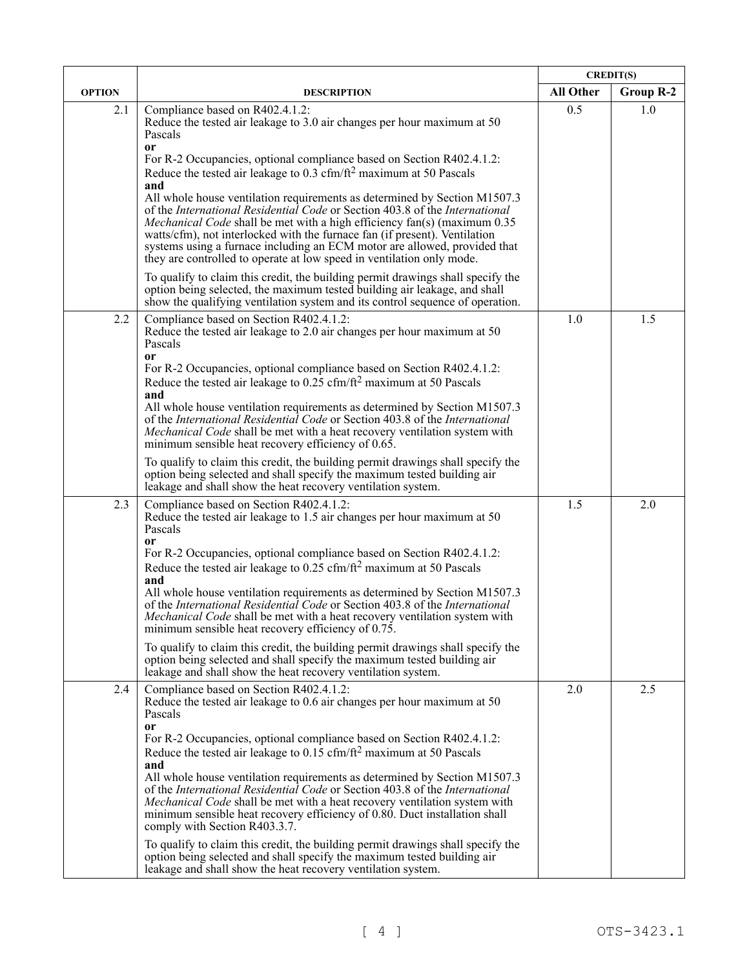|               |                                                                                                                                                                                                                                                                                                                                                                                                                                                                                 | <b>CREDIT(S)</b> |           |
|---------------|---------------------------------------------------------------------------------------------------------------------------------------------------------------------------------------------------------------------------------------------------------------------------------------------------------------------------------------------------------------------------------------------------------------------------------------------------------------------------------|------------------|-----------|
| <b>OPTION</b> | <b>DESCRIPTION</b>                                                                                                                                                                                                                                                                                                                                                                                                                                                              | <b>All Other</b> | Group R-2 |
| 2.1           | Compliance based on R402.4.1.2:<br>Reduce the tested air leakage to 3.0 air changes per hour maximum at 50<br>Pascals<br><sub>or</sub>                                                                                                                                                                                                                                                                                                                                          | 0.5              | 1.0       |
|               | For R-2 Occupancies, optional compliance based on Section R402.4.1.2:<br>Reduce the tested air leakage to $0.3 \text{ cfm}/\text{ft}^2$ maximum at 50 Pascals<br>and                                                                                                                                                                                                                                                                                                            |                  |           |
|               | All whole house ventilation requirements as determined by Section M1507.3<br>of the International Residential Code or Section 403.8 of the International<br><i>Mechanical Code</i> shall be met with a high efficiency fan(s) (maximum 0.35<br>watts/cfm), not interlocked with the furnace fan (if present). Ventilation<br>systems using a furnace including an ECM motor are allowed, provided that<br>they are controlled to operate at low speed in ventilation only mode. |                  |           |
|               | To qualify to claim this credit, the building permit drawings shall specify the<br>option being selected, the maximum tested building air leakage, and shall<br>show the qualifying ventilation system and its control sequence of operation.                                                                                                                                                                                                                                   |                  |           |
| 2.2           | Compliance based on Section R402.4.1.2:<br>Reduce the tested air leakage to 2.0 air changes per hour maximum at 50<br>Pascals<br><sub>or</sub>                                                                                                                                                                                                                                                                                                                                  | 1.0              | 1.5       |
|               | For R-2 Occupancies, optional compliance based on Section R402.4.1.2:<br>Reduce the tested air leakage to $0.25 \text{ cfm}/\text{ft}^2$ maximum at 50 Pascals<br>and                                                                                                                                                                                                                                                                                                           |                  |           |
|               | All whole house ventilation requirements as determined by Section M1507.3<br>of the International Residential Code or Section 403.8 of the International<br><i>Mechanical Code</i> shall be met with a heat recovery ventilation system with<br>minimum sensible heat recovery efficiency of 0.65.                                                                                                                                                                              |                  |           |
|               | To qualify to claim this credit, the building permit drawings shall specify the<br>option being selected and shall specify the maximum tested building air<br>leakage and shall show the heat recovery ventilation system.                                                                                                                                                                                                                                                      |                  |           |
| 2.3           | Compliance based on Section R402.4.1.2:<br>Reduce the tested air leakage to 1.5 air changes per hour maximum at 50<br>Pascals                                                                                                                                                                                                                                                                                                                                                   | 1.5              | 2.0       |
|               | <b>or</b><br>For R-2 Occupancies, optional compliance based on Section R402.4.1.2:<br>Reduce the tested air leakage to 0.25 cfm/ft <sup>2</sup> maximum at 50 Pascals<br>and                                                                                                                                                                                                                                                                                                    |                  |           |
|               | All whole house ventilation requirements as determined by Section M1507.3<br>of the International Residential Code or Section 403.8 of the International<br>Mechanical Code shall be met with a heat recovery ventilation system with<br>minimum sensible heat recovery efficiency of 0.75.                                                                                                                                                                                     |                  |           |
|               | To qualify to claim this credit, the building permit drawings shall specify the<br>option being selected and shall specify the maximum tested building air<br>leakage and shall show the heat recovery ventilation system.                                                                                                                                                                                                                                                      |                  |           |
| 2.4           | Compliance based on Section R402.4.1.2:<br>Reduce the tested air leakage to 0.6 air changes per hour maximum at 50<br>Pascals                                                                                                                                                                                                                                                                                                                                                   | 2.0              | 2.5       |
|               | <b>or</b><br>For R-2 Occupancies, optional compliance based on Section R402.4.1.2:<br>Reduce the tested air leakage to $0.15 \text{ cfm}/\text{ft}^2$ maximum at 50 Pascals<br>and                                                                                                                                                                                                                                                                                              |                  |           |
|               | All whole house ventilation requirements as determined by Section M1507.3<br>of the International Residential Code or Section 403.8 of the International<br><i>Mechanical Code</i> shall be met with a heat recovery ventilation system with<br>minimum sensible heat recovery efficiency of 0.80. Duct installation shall<br>comply with Section R403.3.7.                                                                                                                     |                  |           |
|               | To qualify to claim this credit, the building permit drawings shall specify the<br>option being selected and shall specify the maximum tested building air<br>leakage and shall show the heat recovery ventilation system.                                                                                                                                                                                                                                                      |                  |           |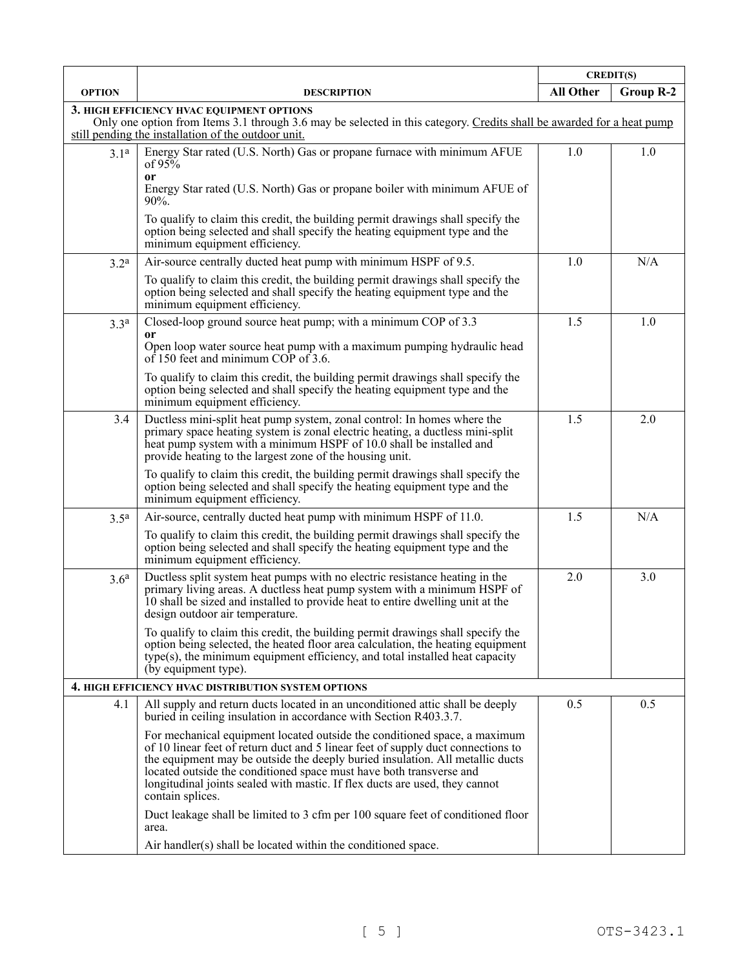|                                                                                                                                                                                                                           |                                                                                                                                                                                                                                                                                                                                                                                                                          | <b>CREDIT(S)</b> |           |
|---------------------------------------------------------------------------------------------------------------------------------------------------------------------------------------------------------------------------|--------------------------------------------------------------------------------------------------------------------------------------------------------------------------------------------------------------------------------------------------------------------------------------------------------------------------------------------------------------------------------------------------------------------------|------------------|-----------|
| <b>OPTION</b>                                                                                                                                                                                                             | <b>DESCRIPTION</b>                                                                                                                                                                                                                                                                                                                                                                                                       | All Other        | Group R-2 |
| 3. HIGH EFFICIENCY HVAC EQUIPMENT OPTIONS<br>Only one option from Items 3.1 through 3.6 may be selected in this category. Credits shall be awarded for a heat pump<br>still pending the installation of the outdoor unit. |                                                                                                                                                                                                                                                                                                                                                                                                                          |                  |           |
| 3.1 <sup>a</sup>                                                                                                                                                                                                          | Energy Star rated (U.S. North) Gas or propane furnace with minimum AFUE<br>of $95%$                                                                                                                                                                                                                                                                                                                                      | 1.0              | 1.0       |
|                                                                                                                                                                                                                           | 0r<br>Energy Star rated (U.S. North) Gas or propane boiler with minimum AFUE of<br>$90\%$ .                                                                                                                                                                                                                                                                                                                              |                  |           |
|                                                                                                                                                                                                                           | To qualify to claim this credit, the building permit drawings shall specify the<br>option being selected and shall specify the heating equipment type and the<br>minimum equipment efficiency.                                                                                                                                                                                                                           |                  |           |
| 3.2 <sup>a</sup>                                                                                                                                                                                                          | Air-source centrally ducted heat pump with minimum HSPF of 9.5.                                                                                                                                                                                                                                                                                                                                                          | 1.0              | N/A       |
|                                                                                                                                                                                                                           | To qualify to claim this credit, the building permit drawings shall specify the<br>option being selected and shall specify the heating equipment type and the<br>minimum equipment efficiency.                                                                                                                                                                                                                           |                  |           |
| 3.3 <sup>a</sup>                                                                                                                                                                                                          | Closed-loop ground source heat pump; with a minimum COP of 3.3                                                                                                                                                                                                                                                                                                                                                           | 1.5              | 1.0       |
|                                                                                                                                                                                                                           | or<br>Open loop water source heat pump with a maximum pumping hydraulic head<br>of 150 feet and minimum COP of 3.6.                                                                                                                                                                                                                                                                                                      |                  |           |
|                                                                                                                                                                                                                           | To qualify to claim this credit, the building permit drawings shall specify the<br>option being selected and shall specify the heating equipment type and the<br>minimum equipment efficiency.                                                                                                                                                                                                                           |                  |           |
| 3.4                                                                                                                                                                                                                       | Ductless mini-split heat pump system, zonal control: In homes where the<br>primary space heating system is zonal electric heating, a ductless mini-split<br>heat pump system with a minimum HSPF of 10.0 shall be installed and<br>provide heating to the largest zone of the housing unit.                                                                                                                              | 1.5              | 2.0       |
|                                                                                                                                                                                                                           | To qualify to claim this credit, the building permit drawings shall specify the<br>option being selected and shall specify the heating equipment type and the<br>minimum equipment efficiency.                                                                                                                                                                                                                           |                  |           |
| 3.5 <sup>a</sup>                                                                                                                                                                                                          | Air-source, centrally ducted heat pump with minimum HSPF of 11.0.                                                                                                                                                                                                                                                                                                                                                        | 1.5              | N/A       |
|                                                                                                                                                                                                                           | To qualify to claim this credit, the building permit drawings shall specify the<br>option being selected and shall specify the heating equipment type and the<br>minimum equipment efficiency.                                                                                                                                                                                                                           |                  |           |
| 3.6 <sup>a</sup>                                                                                                                                                                                                          | Ductless split system heat pumps with no electric resistance heating in the<br>primary living areas. A ductless heat pump system with a minimum HSPF of<br>10 shall be sized and installed to provide heat to entire dwelling unit at the<br>design outdoor air temperature.                                                                                                                                             | 2.0              | 3.0       |
|                                                                                                                                                                                                                           | To qualify to claim this credit, the building permit drawings shall specify the<br>option being selected, the heated floor area calculation, the heating equipment<br>type(s), the minimum equipment efficiency, and total installed heat capacity<br>(by equipment type).                                                                                                                                               |                  |           |
|                                                                                                                                                                                                                           | 4. HIGH EFFICIENCY HVAC DISTRIBUTION SYSTEM OPTIONS                                                                                                                                                                                                                                                                                                                                                                      |                  |           |
| 4.1                                                                                                                                                                                                                       | All supply and return ducts located in an unconditioned attic shall be deeply<br>buried in ceiling insulation in accordance with Section R403.3.7.                                                                                                                                                                                                                                                                       | 0.5              | 0.5       |
|                                                                                                                                                                                                                           | For mechanical equipment located outside the conditioned space, a maximum<br>of 10 linear feet of return duct and 5 linear feet of supply duct connections to<br>the equipment may be outside the deeply buried insulation. All metallic ducts<br>located outside the conditioned space must have both transverse and<br>longitudinal joints sealed with mastic. If flex ducts are used, they cannot<br>contain splices. |                  |           |
|                                                                                                                                                                                                                           | Duct leakage shall be limited to 3 cfm per 100 square feet of conditioned floor<br>area.                                                                                                                                                                                                                                                                                                                                 |                  |           |
|                                                                                                                                                                                                                           | Air handler(s) shall be located within the conditioned space.                                                                                                                                                                                                                                                                                                                                                            |                  |           |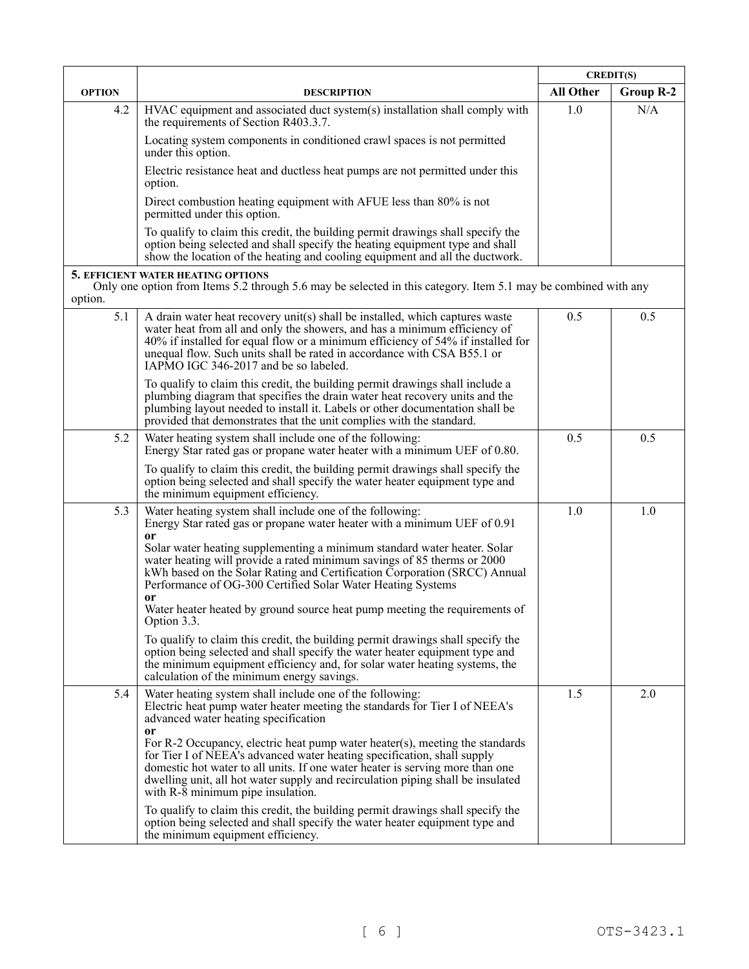|               |                                                                                                                                                                                                                                                                                                                                                                                                                 | <b>CREDIT(S)</b> |                  |
|---------------|-----------------------------------------------------------------------------------------------------------------------------------------------------------------------------------------------------------------------------------------------------------------------------------------------------------------------------------------------------------------------------------------------------------------|------------------|------------------|
| <b>OPTION</b> | <b>DESCRIPTION</b>                                                                                                                                                                                                                                                                                                                                                                                              | All Other        | <b>Group R-2</b> |
| 4.2           | HVAC equipment and associated duct system(s) installation shall comply with<br>the requirements of Section R403.3.7.                                                                                                                                                                                                                                                                                            | 1.0              | N/A              |
|               | Locating system components in conditioned crawl spaces is not permitted<br>under this option.                                                                                                                                                                                                                                                                                                                   |                  |                  |
|               | Electric resistance heat and ductless heat pumps are not permitted under this<br>option.                                                                                                                                                                                                                                                                                                                        |                  |                  |
|               | Direct combustion heating equipment with AFUE less than 80% is not<br>permitted under this option.                                                                                                                                                                                                                                                                                                              |                  |                  |
|               | To qualify to claim this credit, the building permit drawings shall specify the<br>option being selected and shall specify the heating equipment type and shall<br>show the location of the heating and cooling equipment and all the ductwork.                                                                                                                                                                 |                  |                  |
| option.       | <b>5. EFFICIENT WATER HEATING OPTIONS</b><br>Only one option from Items 5.2 through 5.6 may be selected in this category. Item 5.1 may be combined with any                                                                                                                                                                                                                                                     |                  |                  |
| 5.1           | A drain water heat recovery unit(s) shall be installed, which captures waste<br>water heat from all and only the showers, and has a minimum efficiency of<br>40% if installed for equal flow or a minimum efficiency of 54% if installed for<br>unequal flow. Such units shall be rated in accordance with CSA B55.1 or<br>IAPMO IGC 346-2017 and be so labeled.                                                | 0.5              | 0.5              |
|               | To qualify to claim this credit, the building permit drawings shall include a<br>plumbing diagram that specifies the drain water heat recovery units and the<br>plumbing layout needed to install it. Labels or other documentation shall be<br>provided that demonstrates that the unit complies with the standard.                                                                                            |                  |                  |
| 5.2           | Water heating system shall include one of the following:<br>Energy Star rated gas or propane water heater with a minimum UEF of 0.80.                                                                                                                                                                                                                                                                           | 0.5              | 0.5              |
|               | To qualify to claim this credit, the building permit drawings shall specify the<br>option being selected and shall specify the water heater equipment type and<br>the minimum equipment efficiency.                                                                                                                                                                                                             |                  |                  |
| 5.3           | Water heating system shall include one of the following:<br>Energy Star rated gas or propane water heater with a minimum UEF of 0.91                                                                                                                                                                                                                                                                            | 1.0              | 1.0              |
|               | <sub>or</sub><br>Solar water heating supplementing a minimum standard water heater. Solar<br>water heating will provide a rated minimum savings of 85 therms or 2000<br>kWh based on the Solar Rating and Certification Corporation (SRCC) Annual<br>Performance of OG-300 Certified Solar Water Heating Systems<br><sub>or</sub><br>Water heater heated by ground source heat pump meeting the requirements of |                  |                  |
|               | Option 3.3.                                                                                                                                                                                                                                                                                                                                                                                                     |                  |                  |
|               | To qualify to claim this credit, the building permit drawings shall specify the<br>option being selected and shall specify the water heater equipment type and<br>the minimum equipment efficiency and, for solar water heating systems, the<br>calculation of the minimum energy savings.                                                                                                                      |                  |                  |
| 5.4           | Water heating system shall include one of the following:<br>Electric heat pump water heater meeting the standards for Tier I of NEEA's<br>advanced water heating specification<br><sub>or</sub>                                                                                                                                                                                                                 | 1.5              | 2.0              |
|               | For R-2 Occupancy, electric heat pump water heater(s), meeting the standards<br>for Tier I of NEEA's advanced water heating specification, shall supply<br>domestic hot water to all units. If one water heater is serving more than one<br>dwelling unit, all hot water supply and recirculation piping shall be insulated<br>with R-8 minimum pipe insulation.                                                |                  |                  |
|               | To qualify to claim this credit, the building permit drawings shall specify the<br>option being selected and shall specify the water heater equipment type and<br>the minimum equipment efficiency.                                                                                                                                                                                                             |                  |                  |